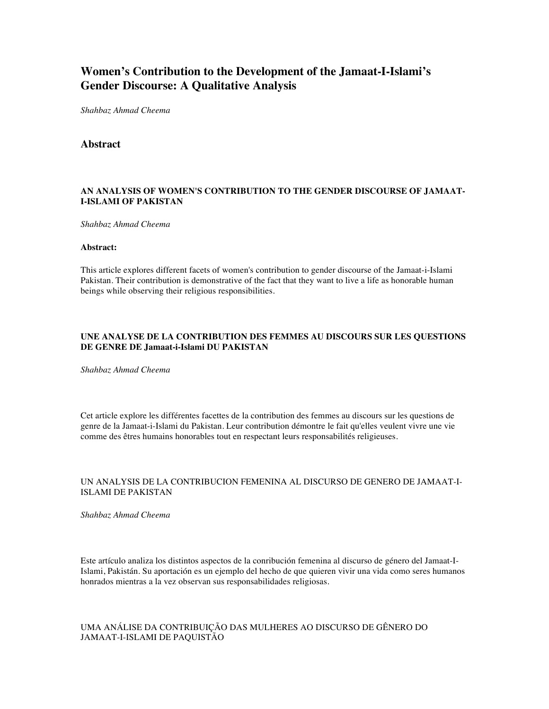# **Women's Contribution to the Development of the Jamaat-I-Islami's Gender Discourse: A Qualitative Analysis**

*Shahbaz Ahmad Cheema*

# **Abstract**

## **AN ANALYSIS OF WOMEN'S CONTRIBUTION TO THE GENDER DISCOURSE OF JAMAAT-I-ISLAMI OF PAKISTAN**

*Shahbaz Ahmad Cheema*

#### **Abstract:**

This article explores different facets of women's contribution to gender discourse of the Jamaat-i-Islami Pakistan. Their contribution is demonstrative of the fact that they want to live a life as honorable human beings while observing their religious responsibilities.

## **UNE ANALYSE DE LA CONTRIBUTION DES FEMMES AU DISCOURS SUR LES QUESTIONS DE GENRE DE Jamaat-i-Islami DU PAKISTAN**

*Shahbaz Ahmad Cheema*

Cet article explore les différentes facettes de la contribution des femmes au discours sur les questions de genre de la Jamaat-i-Islami du Pakistan. Leur contribution démontre le fait qu'elles veulent vivre une vie comme des êtres humains honorables tout en respectant leurs responsabilités religieuses.

#### UN ANALYSIS DE LA CONTRIBUCION FEMENINA AL DISCURSO DE GENERO DE JAMAAT-I-ISLAMI DE PAKISTAN

*Shahbaz Ahmad Cheema*

Este artículo analiza los distintos aspectos de la conribución femenina al discurso de género del Jamaat-I-Islami, Pakistán. Su aportación es un ejemplo del hecho de que quieren vivir una vida como seres humanos honrados mientras a la vez observan sus responsabilidades religiosas.

# UMA ANÁLISE DA CONTRIBUIÇÃO DAS MULHERES AO DISCURSO DE GÊNERO DO JAMAAT-I-ISLAMI DE PAQUISTÃO